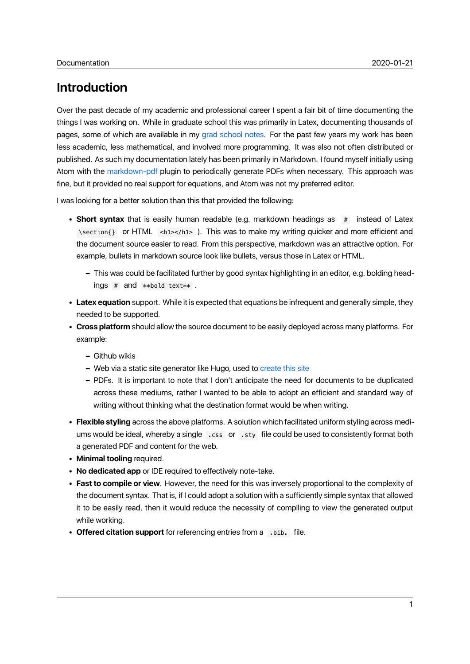# **Introduction**

Over the past decade of my academic and professional career I spent a fair bit of time documenting the things I was working on. While in graduate school this was primarily in Latex, documenting thousands of pages, some of which are available in my grad school notes. For the past few years my work has been less academic, less mathematical, and involved more programming. It was also not often distributed or published. As such my documentation lately has been primarily in Markdown. I found myself initially using Atom with the markdown-pdf plugin to pe[riodically generate](https://danielwiese.com/mit-notes.pdf) PDFs when necessary. This approach was fine, but it provided no real support for equations, and Atom was not my preferred editor.

I was looking for a better solution than this that provided the following:

- **Short syntax** that is easily human readable (e.g. markdown headings as # instead of Latex \section{} or HTML <h1></h1> ). This was to make my writing quicker and more efficient and the document source easier to read. From this perspective, markdown was an attractive option. For example, bullets in markdown source look like bullets, versus those in Latex or HTML.
	- **–** This was could be facilitated further by good syntax highlighting in an editor, e.g. bolding head $ings$  # and  $**$ bold text $**$  .
- **Latex equation** support. While it is expected that equations be infrequent and generally simple, they needed to be supported.
- **Cross platform** should allow the source document to be easily deployed across many platforms. For example:
	- **–** Github wikis
	- **–** Web via a static site generator like Hugo, used to create this site
	- **–** PDFs. It is important to note that I don't anticipate the need for documents to be duplicated across these mediums, rather I wanted to be able to adopt an efficient and standard way of writing without thinking what the destination for[mat would be wh](https://danielwiese.com/posts/site-setup/)en writing.
- **Flexible styling** across the above platforms. A solution which facilitated uniform styling across mediums would be ideal, whereby a single .css or .sty file could be used to consistently format both a generated PDF and content for the web.
- **Minimal tooling** required.
- **No dedicated app** or IDE required to effectively note-take.
- **Fast to compile or view**. However, the need for this was inversely proportional to the complexity of the document syntax. That is, if I could adopt a solution with a sufficiently simple syntax that allowed it to be easily read, then it would reduce the necessity of compiling to view the generated output while working.
- **Offered citation support** for referencing entries from a .bib. file.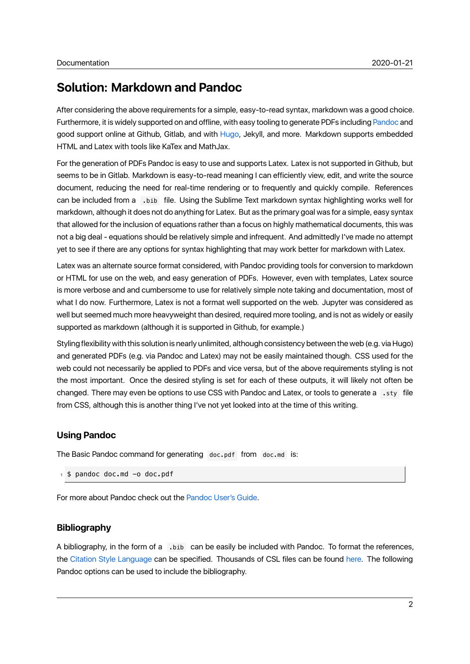# **Solution: Markdown and Pandoc**

After considering the above requirements for a simple, easy-to-read syntax, markdown was a good choice. Furthermore, it is widely supported on and offline, with easy tooling to generate PDFs including Pandoc and good support online at Github, Gitlab, and with Hugo, Jekyll, and more. Markdown supports embedded HTML and Latex with tools like KaTex and MathJax.

For the generation of PDFs Pandoc is easy to use and supports Latex. Latex is not supported i[n Github,](https://pandoc.org/) but seems to be in Gitlab. Markdown is easy-to-rea[d mean](https://gohugo.io/)ing I can efficiently view, edit, and write the source document, reducing the need for real-time rendering or to frequently and quickly compile. References can be included from a .bib file. Using the Sublime Text markdown syntax highlighting works well for markdown, although it does not do anything for Latex. But as the primary goal was for a simple, easy syntax that allowed for the inclusion of equations rather than a focus on highly mathematical documents, this was not a big deal - equations should be relatively simple and infrequent. And admittedly I've made no attempt yet to see if there are any options for syntax highlighting that may work better for markdown with Latex.

Latex was an alternate source format considered, with Pandoc providing tools for conversion to markdown or HTML for use on the web, and easy generation of PDFs. However, even with templates, Latex source is more verbose and and cumbersome to use for relatively simple note taking and documentation, most of what I do now. Furthermore, Latex is not a format well supported on the web. Jupyter was considered as well but seemed much more heavyweight than desired, required more tooling, and is not as widely or easily supported as markdown (although it is supported in Github, for example.)

Styling flexibility with this solution is nearly unlimited, although consistency between the web (e.g. via Hugo) and generated PDFs (e.g. via Pandoc and Latex) may not be easily maintained though. CSS used for the web could not necessarily be applied to PDFs and vice versa, but of the above requirements styling is not the most important. Once the desired styling is set for each of these outputs, it will likely not often be changed. There may even be options to use CSS with Pandoc and Latex, or tools to generate a .sty file from CSS, although this is another thing I've not yet looked into at the time of this writing.

### **Using Pandoc**

The Basic Pandoc command for generating doc.pdf from doc.md is:

```
1 $ pandoc doc.md -o doc.pdf
```
For more about Pandoc check out the Pandoc User's Guide.

### **Bibliography**

A bibliography, in the form of a .bib can be easily be included with Pandoc. To format the references, the Citation Style Language can be specified. Thousands of CSL files can be found here. The following Pandoc options can be used to include the bibliography.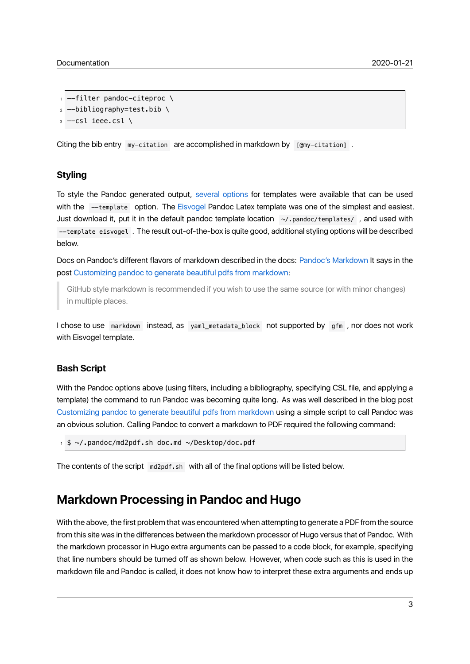```
|1| --filter pandoc-citeproc \
 -bibliography=test.bib \
 -cs1 ieee.csl \setminus
```
Citing the bib entry  $my-citation$  are accomplished in markdown by  $[@my-citation]$ .

#### **Styling**

To style the Pandoc generated output, several options for templates were available that can be used with the --template option. The Eisvogel Pandoc Latex template was one of the simplest and easiest. Just download it, put it in the default pandoc template location  $\sim$ /.pandoc/templates/, and used with --template eisvogel . The result out-of[-the-box is quite](https://github.com/jgm/pandoc/wiki/User-contributed-templates) good, additional styling options will be described below.

Docs on Pandoc's different flavors of markdown described in the docs: Pandoc's Markdown It says in the post Customizing pandoc to generate beautiful pdfs from markdown:

GitHub style markdown is recommended if you wish to use the same source (or with minor changes) in multiple places.

I chose to use markdown instead, as yaml\_metadata\_block not supported by gfm , nor does not work with Eisvogel template.

#### **Bash Script**

With the Pandoc options above (using filters, including a bibliography, specifying CSL file, and applying a template) the command to run Pandoc was becoming quite long. As was well described in the blog post Customizing pandoc to generate beautiful pdfs from markdown using a simple script to call Pandoc was an obvious solution. Calling Pandoc to convert a markdown to PDF required the following command:

<sup>1</sup> \$ ~/.pandoc/md2pdf.sh doc.md ~/Desktop/doc.pdf

The contents of the script  $md2pdf.sh$  with all of the final options will be listed below.

## **Markdown Processing in Pandoc and Hugo**

With the above, the first problem that was encountered when attempting to generate a PDF from the source from this site was in the differences between the markdown processor of Hugo versus that of Pandoc. With the markdown processor in Hugo extra arguments can be passed to a code block, for example, specifying that line numbers should be turned off as shown below. However, when code such as this is used in the markdown file and Pandoc is called, it does not know how to interpret these extra arguments and ends up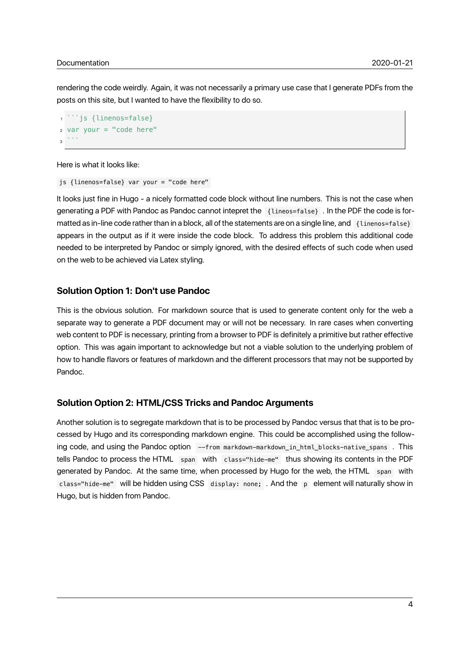rendering the code weirdly. Again, it was not necessarily a primary use case that I generate PDFs from the posts on this site, but I wanted to have the flexibility to do so.

```
```is {linenos=false}
2 var your = "code here"
3 \mid \cdots
```
Here is what it looks like:

js {linenos=false} var your = "code here"

It looks just fine in Hugo - a nicely formatted code block without line numbers. This is not the case when generating a PDF with Pandoc as Pandoc cannot intepret the {lineos=false} . In the PDF the code is formatted as in-line code rather than in a block, all of the statements are on a single line, and {linenos=false} appears in the output as if it were inside the code block. To address this problem this additional code needed to be interpreted by Pandoc or simply ignored, with the desired effects of such code when used on the web to be achieved via Latex styling.

#### **Solution Option 1: Don't use Pandoc**

This is the obvious solution. For markdown source that is used to generate content only for the web a separate way to generate a PDF document may or will not be necessary. In rare cases when converting web content to PDF is necessary, printing from a browser to PDF is definitely a primitive but rather effective option. This was again important to acknowledge but not a viable solution to the underlying problem of how to handle flavors or features of markdown and the different processors that may not be supported by Pandoc.

#### **Solution Option 2: HTML/CSS Tricks and Pandoc Arguments**

Another solution is to segregate markdown that is to be processed by Pandoc versus that that is to be processed by Hugo and its corresponding markdown engine. This could be accomplished using the following code, and using the Pandoc option --from markdown-markdown\_in\_html\_blocks-native\_spans . This tells Pandoc to process the HTML span with class="hide-me" thus showing its contents in the PDF generated by Pandoc. At the same time, when processed by Hugo for the web, the HTML span with class="hide-me" will be hidden using CSS display: none; . And the p element will naturally show in Hugo, but is hidden from Pandoc.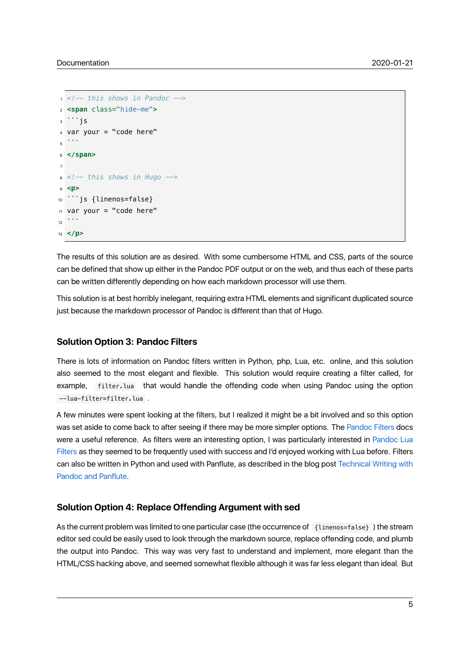```
1 <!-- this shows in Pandoc -->
2 <span class="hide-me">
3<sup>'`</sup>js
4 var your = "code here"
\overline{5} \cdots6 </span>
7
8 <!-- this shows in Hugo -->
9 <p>
10<sup>| ``</sup>js {linenos=false}
11 var your = "code here"
1213 </p>
```
The results of this solution are as desired. With some cumbersome HTML and CSS, parts of the source can be defined that show up either in the Pandoc PDF output or on the web, and thus each of these parts can be written differently depending on how each markdown processor will use them.

This solution is at best horribly inelegant, requiring extra HTML elements and significant duplicated source just because the markdown processor of Pandoc is different than that of Hugo.

#### **Solution Option 3: Pandoc Filters**

There is lots of information on Pandoc filters written in Python, php, Lua, etc. online, and this solution also seemed to the most elegant and flexible. This solution would require creating a filter called, for example, filter.lua that would handle the offending code when using Pandoc using the option --lua-filter=filter.lua .

A few minutes were spent looking at the filters, but I realized it might be a bit involved and so this option was set aside to come back to after seeing if there may be more simpler options. The Pandoc Filters docs were a useful reference. As filters were an interesting option, I was particularly interested in Pandoc Lua Filters as they seemed to be frequently used with success and I'd enjoyed working with Lua before. Filters can also be written in Python and used with Panflute, as described in the blog post Te[chnical Writing](https://pandoc.org/filters.html) with Pandoc and Panflute.

#### **[Solution Option 4](https://lee-phillips.org/panflute-gnuplot/): Replace Offending Argument with sed**

As the current problem was limited to one particular case (the occurrence of {linenos=false} ) the stream editor sed could be easily used to look through the markdown source, replace offending code, and plumb the output into Pandoc. This way was very fast to understand and implement, more elegant than the HTML/CSS hacking above, and seemed somewhat flexible although it was far less elegant than ideal. But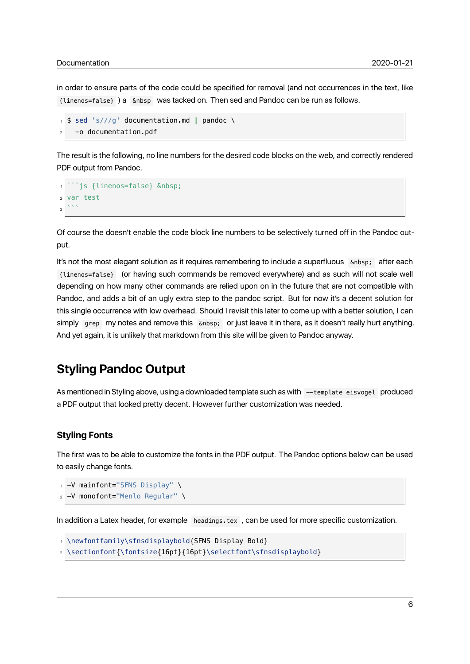in order to ensure parts of the code could be specified for removal (and not occurrences in the text, like {linenos=false} ) a &nbsp was tacked on. Then sed and Pandoc can be run as follows.

```
1 $ sed 's///g' documentation.md | pandoc \
2 -o documentation.pdf
```
The result is the following, no line numbers for the desired code blocks on the web, and correctly rendered PDF output from Pandoc.

```
``is {linenos=false}  
2 var test
3 \mid \cdots
```
Of course the doesn't enable the code block line numbers to be selectively turned off in the Pandoc output.

It's not the most elegant solution as it requires remembering to include a superfluous  $\epsilon_{\rm nbsp}$ ; after each {linenos=false} (or having such commands be removed everywhere) and as such will not scale well depending on how many other commands are relied upon on in the future that are not compatible with Pandoc, and adds a bit of an ugly extra step to the pandoc script. But for now it's a decent solution for this single occurrence with low overhead. Should I revisit this later to come up with a better solution, I can simply grep my notes and remove this anbsp; or just leave it in there, as it doesn't really hurt anything. And yet again, it is unlikely that markdown from this site will be given to Pandoc anyway.

## **Styling Pandoc Output**

As mentioned in Styling above, using a downloaded template such as with --template eisvogel produced a PDF output that looked pretty decent. However further customization was needed.

#### **Styling Fonts**

The first was to be able to customize the fonts in the PDF output. The Pandoc options below can be used to easily change fonts.

```
-V mainfont="SFNS Display" \
```

```
|z| -V monofont="Menlo Regular" \
```
In addition a Latex header, for example headings.tex , can be used for more specific customization.

```
\newfontfamily\sfnsdisplaybold{SFNS Display Bold}
```

```
2 \sectionfont{\fontsize{16pt}{16pt}\selectfont\sfnsdisplaybold}
```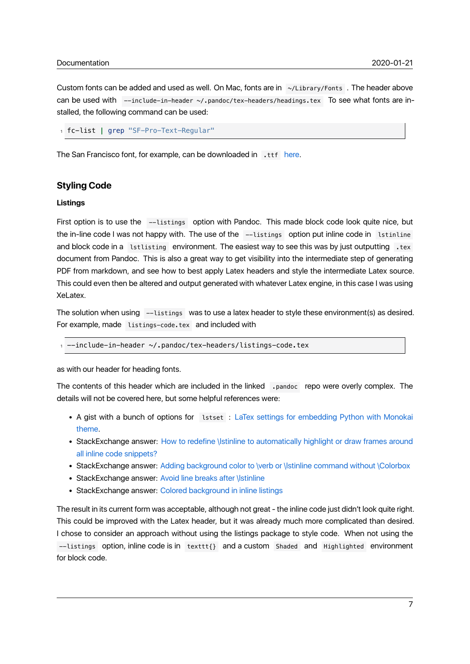Custom fonts can be added and used as well. On Mac, fonts are in ~/Library/Fonts . The header above can be used with --include-in-header ~/.pandoc/tex-headers/headings.tex To see what fonts are installed, the following command can be used:

<sup>1</sup> fc-list **|** grep "SF-Pro-Text-Regular"

The San Francisco font, for example, can be downloaded in tth here.

#### **Styling Code**

#### **Listings**

First option is to use the --listings option with Pandoc. This made block code look quite nice, but the in-line code I was not happy with. The use of the --listings option put inline code in latinline and block code in a lstlisting environment. The easiest way to see this was by just outputting .tex document from Pandoc. This is also a great way to get visibility into the intermediate step of generating PDF from markdown, and see how to best apply Latex headers and style the intermediate Latex source. This could even then be altered and output generated with whatever Latex engine, in this case I was using XeLatex.

The solution when using --listings was to use a latex header to style these environment(s) as desired. For example, made listings-code.tex and included with

 $line$ -include-in-header  $\sim$ /.pandoc/tex-headers/listings-code.tex

as with our header for heading fonts.

The contents of this header which are included in the linked .pandoc repo were overly complex. The details will not be covered here, but some helpful references were:

- A gist with a bunch of options for lstset : LaTex settings for embedding Python with Monokai theme.
- StackExchange answer: How to redefine \lstinline to automatically highlight or draw frames around all inline code snippets?
- [StackE](https://gist.github.com/nhtranngoc/88b72d9bfb656a3de227eea38ed80627)xchange answer: Adding background color to \verb or \lstinline command without \Colorbox
- StackExchange answer: [Avoid line breaks after \lstinline](https://tex.stackexchange.com/questions/30845/how-to-redefine-lstinline-to-automatically-highlight-or-draw-frames-around-all/30851#30851)
- [StackExchange answer:](https://tex.stackexchange.com/questions/30845/how-to-redefine-lstinline-to-automatically-highlight-or-draw-frames-around-all/30851#30851) Colored background in inline listings

The result in its current form w[as acceptable, although not great - the inline code just didn't look quite right](https://tex.stackexchange.com/questions/357227/adding-background-color-to-verb-or-lstinline-command-without-colorbox). This could be improved with t[he Latex header, but it was alre](https://tex.stackexchange.com/questions/64750/avoid-line-breaks-after-lstinline)ady much more complicated than desired. I chose to consider an appro[ach without using the listings packag](https://tex.stackexchange.com/questions/28179/colored-background-in-inline-listings)e to style code. When not using the --listings option, inline code is in texttt{} and a custom Shaded and Highlighted environment for block code.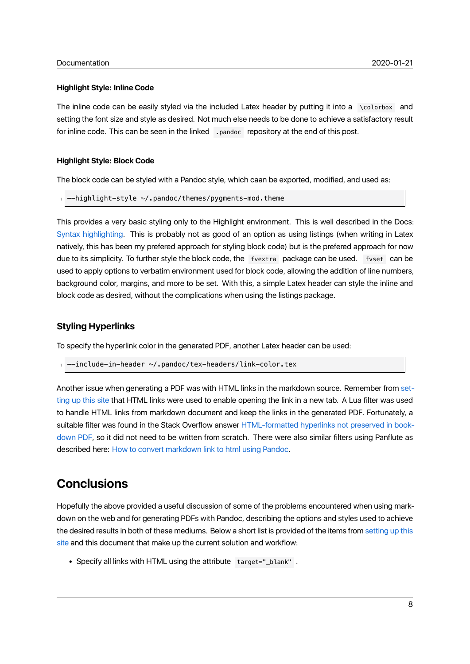#### **Highlight Style: Inline Code**

The inline code can be easily styled via the included Latex header by putting it into a \colorbox and setting the font size and style as desired. Not much else needs to be done to achieve a satisfactory result for inline code. This can be seen in the linked . pandoc repository at the end of this post.

#### **Highlight Style: Block Code**

The block code can be styled with a Pandoc style, which caan be exported, modified, and used as:

```
-highlight-style ~/.pandoc/themes/pygments-mod.theme
```
This provides a very basic styling only to the Highlight environment. This is well described in the Docs: Syntax highlighting. This is probably not as good of an option as using listings (when writing in Latex natively, this has been my prefered approach for styling block code) but is the prefered approach for now due to its simplicity. To further style the block code, the fvextra package can be used. fvset can be [used to apply option](https://pandoc.org/MANUAL.html#syntax-highlighting)s to verbatim environment used for block code, allowing the addition of line numbers, background color, margins, and more to be set. With this, a simple Latex header can style the inline and block code as desired, without the complications when using the listings package.

### **Styling Hyperlinks**

To specify the hyperlink color in the generated PDF, another Latex header can be used:

```
-include-in-header ~/.pandoc/tex-headers/link-color.tex
```
Another issue when generating a PDF was with HTML links in the markdown source. Remember from setting up this site that HTML links were used to enable opening the link in a new tab. A Lua filter was used to handle HTML links from markdown document and keep the links in the generated PDF. Fortunately, a suitable filter was found in the Stack Overflow answer HTML-formatted hyperlinks not preserved in b[ook](https://danielwiese.com/posts/site-setup/)[down PDF, so it](https://danielwiese.com/posts/site-setup/) did not need to be written from scratch. There were also similar filters using Panflute as described here: How to convert markdown link to html using Pandoc.

# **[Conclu](https://stackoverflow.com/questions/52958312/html-formatted-hyperlinks-not-preserved-in-bookdown-pdf)si[ons](https://gist.github.com/dixonsiu/28c473f93722e586e6d53b035923967c)**

Hopefully the above provided a useful discussion of some of the problems encountered when using markdown on the web and for generating PDFs with Pandoc, describing the options and styles used to achieve the desired results in both of these mediums. Below a short list is provided of the items from setting up this site and this document that make up the current solution and workflow:

• Specify all links with HTML using the attribute target=" blank".